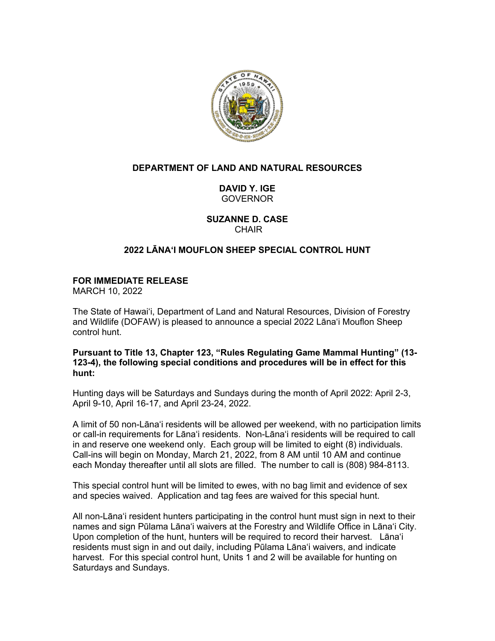

# **DEPARTMENT OF LAND AND NATURAL RESOURCES**

**DAVID Y. IGE** GOVERNOR

**SUZANNE D. CASE CHAIR** 

# **2022 LĀNAʻI MOUFLON SHEEP SPECIAL CONTROL HUNT**

# **FOR IMMEDIATE RELEASE**

MARCH 10, 2022

The State of Hawaiʻi, Department of Land and Natural Resources, Division of Forestry and Wildlife (DOFAW) is pleased to announce a special 2022 Lānaʻi Mouflon Sheep control hunt.

**Pursuant to Title 13, Chapter 123, "Rules Regulating Game Mammal Hunting" (13- 123-4), the following special conditions and procedures will be in effect for this hunt:**

Hunting days will be Saturdays and Sundays during the month of April 2022: April 2-3, April 9-10, April 16-17, and April 23-24, 2022.

A limit of 50 non-Lānaʻi residents will be allowed per weekend, with no participation limits or call-in requirements for Lānaʻi residents. Non-Lānaʻi residents will be required to call in and reserve one weekend only. Each group will be limited to eight (8) individuals. Call-ins will begin on Monday, March 21, 2022, from 8 AM until 10 AM and continue each Monday thereafter until all slots are filled. The number to call is (808) 984-8113.

This special control hunt will be limited to ewes, with no bag limit and evidence of sex and species waived. Application and tag fees are waived for this special hunt.

All non-Lānaʻi resident hunters participating in the control hunt must sign in next to their names and sign Pūlama Lānaʻi waivers at the Forestry and Wildlife Office in Lānaʻi City. Upon completion of the hunt, hunters will be required to record their harvest. Lānaʻi residents must sign in and out daily, including Pūlama Lānaʻi waivers, and indicate harvest. For this special control hunt, Units 1 and 2 will be available for hunting on Saturdays and Sundays.